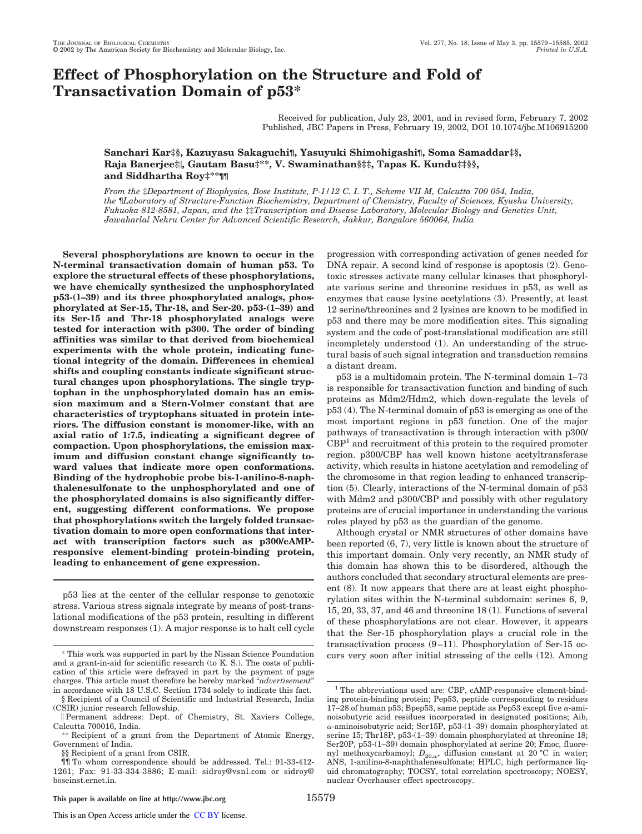# **Effect of Phosphorylation on the Structure and Fold of Transactivation Domain of p53\***

Received for publication, July 23, 2001, and in revised form, February 7, 2002 Published, JBC Papers in Press, February 19, 2002, DOI 10.1074/jbc.M106915200

## **Sanchari Kar‡§, Kazuyasu Sakaguchi¶, Yasuyuki Shimohigashi¶, Soma Samaddar‡§, Raja Banerjee‡, Gautam Basu‡\*\*, V. Swaminathan§‡‡, Tapas K. Kundu‡‡§§, and Siddhartha Roy‡\*\*¶¶**

*From the* ‡*Department of Biophysics, Bose Institute, P-1/12 C. I. T., Scheme VII M, Calcutta 700 054, India, the* ¶*Laboratory of Structure-Function Biochemistry, Department of Chemistry, Faculty of Sciences, Kyushu University, Fukuoka 812-8581, Japan, and the* ‡‡*Transcription and Disease Laboratory, Molecular Biology and Genetics Unit, Jawaharlal Nehru Center for Advanced Scientific Research, Jakkur, Bangalore 560064, India*

**Several phosphorylations are known to occur in the N-terminal transactivation domain of human p53. To explore the structural effects of these phosphorylations, we have chemically synthesized the unphosphorylated p53-(1–39) and its three phosphorylated analogs, phosphorylated at Ser-15, Thr-18, and Ser-20. p53-(1–39) and its Ser-15 and Thr-18 phosphorylated analogs were tested for interaction with p300. The order of binding affinities was similar to that derived from biochemical experiments with the whole protein, indicating functional integrity of the domain. Differences in chemical shifts and coupling constants indicate significant structural changes upon phosphorylations. The single tryptophan in the unphosphorylated domain has an emission maximum and a Stern-Volmer constant that are characteristics of tryptophans situated in protein interiors. The diffusion constant is monomer-like, with an axial ratio of 1:7.5, indicating a significant degree of compaction. Upon phosphorylations, the emission maximum and diffusion constant change significantly toward values that indicate more open conformations. Binding of the hydrophobic probe bis-1-anilino-8-naphthalenesulfonate to the unphosphorylated and one of the phosphorylated domains is also significantly different, suggesting different conformations. We propose that phosphorylations switch the largely folded transactivation domain to more open conformations that interact with transcription factors such as p300/cAMPresponsive element-binding protein-binding protein, leading to enhancement of gene expression.**

p53 lies at the center of the cellular response to genotoxic stress. Various stress signals integrate by means of post-translational modifications of the p53 protein, resulting in different downstream responses (1). A major response is to halt cell cycle

**This paper is available on line at http://www.jbc.org** 15579

progression with corresponding activation of genes needed for DNA repair. A second kind of response is apoptosis (2). Genotoxic stresses activate many cellular kinases that phosphorylate various serine and threonine residues in p53, as well as enzymes that cause lysine acetylations (3). Presently, at least 12 serine/threonines and 2 lysines are known to be modified in p53 and there may be more modification sites. This signaling system and the code of post-translational modification are still incompletely understood (1). An understanding of the structural basis of such signal integration and transduction remains a distant dream.

p53 is a multidomain protein. The N-terminal domain 1–73 is responsible for transactivation function and binding of such proteins as Mdm2/Hdm2, which down-regulate the levels of p53 (4). The N-terminal domain of p53 is emerging as one of the most important regions in p53 function. One of the major pathways of transactivation is through interaction with p300/  $\text{CBP}^1$  and recruitment of this protein to the required promoter region. p300/CBP has well known histone acetyltransferase activity, which results in histone acetylation and remodeling of the chromosome in that region leading to enhanced transcription (5). Clearly, interactions of the N-terminal domain of p53 with Mdm2 and p300/CBP and possibly with other regulatory proteins are of crucial importance in understanding the various roles played by p53 as the guardian of the genome.

Although crystal or NMR structures of other domains have been reported (6, 7), very little is known about the structure of this important domain. Only very recently, an NMR study of this domain has shown this to be disordered, although the authors concluded that secondary structural elements are present (8). It now appears that there are at least eight phosphorylation sites within the N-terminal subdomain: serines 6, 9, 15, 20, 33, 37, and 46 and threonine 18 (1). Functions of several of these phosphorylations are not clear. However, it appears that the Ser-15 phosphorylation plays a crucial role in the transactivation process (9–11). Phosphorylation of Ser-15 oc- \* This work was supported in part by the Nissan Science Foundation curs very soon after initial stressing of the cells (12). Among

and a grant-in-aid for scientific research (to K. S.). The costs of publication of this article were defrayed in part by the payment of page charges. This article must therefore be hereby marked "*advertisement*" in accordance with 18 U.S.C. Section 1734 solely to indicate this fact.

<sup>§</sup> Recipient of a Council of Scientific and Industrial Research, India (CSIR) junior research fellowship.

Permanent address: Dept. of Chemistry, St. Xaviers College, Calcutta 700016, India.

<sup>\*\*</sup> Recipient of a grant from the Department of Atomic Energy, Government of India.

<sup>§§</sup> Recipient of a grant from CSIR.

<sup>¶¶</sup> To whom correspondence should be addressed. Tel.: 91-33-412- 1261; Fax: 91-33-334-3886; E-mail: sidroy@vsnl.com or sidroy@ boseinst.ernet.in.

<sup>&</sup>lt;sup>1</sup> The abbreviations used are: CBP, cAMP-responsive element-binding protein-binding protein; Pep53, peptide corresponding to residues 17–28 of human p53; Bpep53, same peptide as Pep53 except five  $\alpha$ -aminoisobutyric acid residues incorporated in designated positions; Aib, -aminoisobutyric acid; Ser15P, p53-(1–39) domain phosphorylated at serine 15; Thr18P, p53-(1–39) domain phosphorylated at threonine 18; Ser20P, p53-(1–39) domain phosphorylated at serine 20; Fmoc, fluorenyl methoxycarbamoyl;  $D_{20,\omega}$ , diffusion constant at 20 °C in water; ANS, 1-anilino-8-naphthalenesulfonate; HPLC, high performance liquid chromatography; TOCSY, total correlation spectroscopy; NOESY, nuclear Overhauser effect spectroscopy.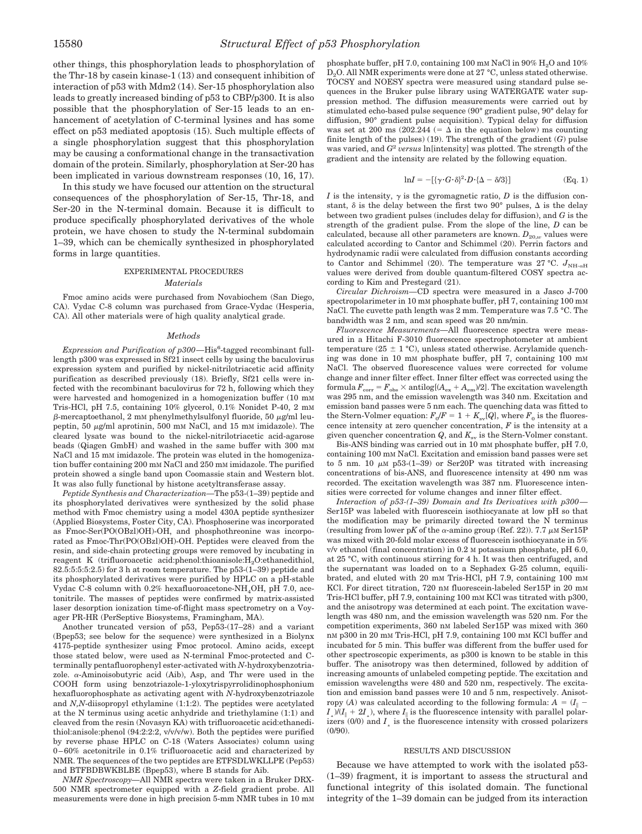other things, this phosphorylation leads to phosphorylation of the Thr-18 by casein kinase-1 (13) and consequent inhibition of interaction of p53 with Mdm2 (14). Ser-15 phosphorylation also leads to greatly increased binding of p53 to CBP/p300. It is also possible that the phosphorylation of Ser-15 leads to an enhancement of acetylation of C-terminal lysines and has some effect on p53 mediated apoptosis (15). Such multiple effects of a single phosphorylation suggest that this phosphorylation may be causing a conformational change in the transactivation domain of the protein. Similarly, phosphorylation at Ser-20 has been implicated in various downstream responses (10, 16, 17).

In this study we have focused our attention on the structural consequences of the phosphorylation of Ser-15, Thr-18, and Ser-20 in the N-terminal domain. Because it is difficult to produce specifically phosphorylated derivatives of the whole protein, we have chosen to study the N-terminal subdomain 1–39, which can be chemically synthesized in phosphorylated forms in large quantities.

### EXPERIMENTAL PROCEDURES *Materials*

Fmoc amino acids were purchased from Novabiochem (San Diego, CA). Vydac C-8 column was purchased from Grace-Vydac (Hesperia, CA). All other materials were of high quality analytical grade.

#### *Methods*

*Expression and Purification of p300—His*<sup>6</sup>-tagged recombinant fulllength p300 was expressed in Sf21 insect cells by using the baculovirus expression system and purified by nickel-nitrilotriacetic acid affinity purification as described previously (18). Briefly, Sf21 cells were infected with the recombinant baculovirus for 72 h, following which they were harvested and homogenized in a homogenization buffer (10 mM Tris-HCl, pH 7.5, containing 10% glycerol, 0.1% Nonidet P-40, 2 mM  $\beta$ -mercaptoethanol, 2 mM phenylmethylsulfonyl fluoride, 50  $\mu$ g/ml leupeptin,  $50 \mu g/m$  aprotinin,  $500 \mu g$  NaCl, and  $15 \mu g$  imidazole). The cleared lysate was bound to the nickel-nitrilotriacetic acid-agarose beads (Qiagen GmbH) and washed in the same buffer with 300 mM NaCl and 15 mM imidazole. The protein was eluted in the homogenization buffer containing 200 mM NaCl and 250 mM imidazole. The purified protein showed a single band upon Coomassie stain and Western blot. It was also fully functional by histone acetyltransferase assay.

*Peptide Synthesis and Characterization—*The p53-(1–39) peptide and its phosphorylated derivatives were synthesized by the solid phase method with Fmoc chemistry using a model 430A peptide synthesizer (Applied Biosystems, Foster City, CA). Phosphoserine was incorporated as Fmoc-Ser(PO(OBzl)OH)-OH, and phosphothreonine was incorporated as Fmoc-Thr(PO(OBzl)OH)-OH. Peptides were cleaved from the resin, and side-chain protecting groups were removed by incubating in reagent K (trifluoroacetic acid:phenol:thioanisole: $H_2O$ :ethanedithiol,  $82.5:5:5:5:2.5$ ) for 3 h at room temperature. The p53- $(1-39)$  peptide and its phosphorylated derivatives were purified by HPLC on a pH-stable Vydac C-8 column with 0.2% hexafluoroacetone-NH<sub>4</sub>OH, pH 7.0, acetonitrile. The masses of peptides were confirmed by matrix-assisted laser desorption ionization time-of-flight mass spectrometry on a Voyager PR-HR (PerSeptive Biosystems, Framingham, MA).

Another truncated version of p53, Pep53-(17–28) and a variant (Bpep53; see below for the sequence) were synthesized in a Biolynx 4175-peptide synthesizer using Fmoc protocol. Amino acids, except those stated below, were used as N-terminal Fmoc-protected and Cterminally pentafluorophenyl ester-activated with *N*-hydroxybenzotriazole.  $\alpha$ -Aminoisobutyric acid (Aib), Asp, and Thr were used in the COOH form using benzotriazole-1-yloxytrispyrrolidinophosphonium hexafluorophosphate as activating agent with *N*-hydroxybenzotriazole and *N,N*-diisopropyl ethylamine (1:1:2). The peptides were acetylated at the N terminus using acetic anhydride and triethylamine (1:1) and cleaved from the resin (Novasyn KA) with trifluoroacetic acid:ethanedithiol:anisole:phenol (94:2:2:2, v/v/v/w). Both the peptides were purified by reverse phase HPLC on C-18 (Waters Associates) column using 0–60% acetonitrile in 0.1% trifluoroacetic acid and characterized by NMR. The sequences of the two peptides are ETFSDLWKLLPE (Pep53) and BTFBDBWKBLBE (Bpep53), where B stands for Aib.

*NMR Spectroscopy—*All NMR spectra were taken in a Bruker DRX-500 NMR spectrometer equipped with a *Z*-field gradient probe. All measurements were done in high precision 5-mm NMR tubes in 10 mM

phosphate buffer, pH 7.0, containing 100 mm NaCl in  $90\%$  H<sub>2</sub>O and  $10\%$ D<sub>2</sub>O. All NMR experiments were done at 27 °C, unless stated otherwise. TOCSY and NOESY spectra were measured using standard pulse sequences in the Bruker pulse library using WATERGATE water suppression method. The diffusion measurements were carried out by stimulated echo-based pulse sequence (90° gradient pulse, 90° delay for diffusion, 90° gradient pulse acquisition). Typical delay for diffusion was set at 200 ms  $(202.244 \leq \Delta \text{ in the equation below})$  ms counting finite length of the pulses) (19). The strength of the gradient (*G*) pulse was varied, and *G* 2 *versus* ln[intensity] was plotted. The strength of the gradient and the intensity are related by the following equation.

$$
\ln I = -\left[\left\{\gamma \cdot G \cdot \delta\right\}^2 \cdot D \cdot \left\{\Delta - \delta/3\right\}\right] \tag{Eq. 1}
$$

*I* is the intensity,  $\gamma$  is the gyromagnetic ratio, *D* is the diffusion constant,  $\delta$  is the delay between the first two 90° pulses,  $\Delta$  is the delay between two gradient pulses (includes delay for diffusion), and *G* is the strength of the gradient pulse. From the slope of the line, *D* can be calculated, because all other parameters are known.  $D_{20,w}$  values were calculated according to Cantor and Schimmel (20). Perrin factors and hydrodynamic radii were calculated from diffusion constants according to Cantor and Schimmel (20). The temperature was 27 °C.  $J_{\text{NH-}oH}$ values were derived from double quantum-filtered COSY spectra according to Kim and Prestegard (21).

*Circular Dichroism—*CD spectra were measured in a Jasco J-700 spectropolarimeter in 10 mM phosphate buffer, pH 7, containing 100 mM NaCl. The cuvette path length was 2 mm. Temperature was 7.5 °C. The bandwidth was 2 nm, and scan speed was 20 nm/min.

*Fluorescence Measurements—*All fluorescence spectra were measured in a Hitachi F-3010 fluorescence spectrophotometer at ambient temperature (25  $\pm$  1 °C), unless stated otherwise. Acrylamide quenching was done in 10 mM phosphate buffer, pH 7, containing 100 mM NaCl. The observed fluorescence values were corrected for volume change and inner filter effect. Inner filter effect was corrected using the  ${\rm formula} \, F_{\rm corr}$  =  $F_{\rm obs}$   $\times$  antilog[( $A_{\rm ex}$  +  $A_{\rm em}$ )/2]. The excitation wavelength was 295 nm, and the emission wavelength was 340 nm. Excitation and emission band passes were 5 nm each. The quenching data was fitted to the Stern-Volmer equation:  $F_0/F = 1 + K_{sv}[Q]$ , where  $F_0$  is the fluorescence intensity at zero quencher concentration, *F* is the intensity at a given quencher concentration  $Q$ , and  $K_{\rm sv}$  is the Stern-Volmer constant.

Bis-ANS binding was carried out in 10 mM phosphate buffer, pH 7.0, containing 100 mM NaCl. Excitation and emission band passes were set to 5 nm. 10  $\mu$ M p53-(1-39) or Ser20P was titrated with increasing concentrations of bis-ANS, and fluorescence intensity at 490 nm was recorded. The excitation wavelength was 387 nm. Fluorescence intensities were corrected for volume changes and inner filter effect.

*Interaction of p53-(1–39) Domain and Its Derivatives with p300—* Ser15P was labeled with fluorescein isothiocyanate at low pH so that the modification may be primarily directed toward the N terminus (resulting from lower pK of the  $\alpha$ -amino group (Ref. 22)). 7.7  $\mu$ M Ser15P was mixed with 20-fold molar excess of fluorescein isothiocyanate in 5% v/v ethanol (final concentration) in 0.2 M potassium phosphate, pH 6.0, at 25 °C, with continuous stirring for 4 h. It was then centrifuged, and the supernatant was loaded on to a Sephadex G-25 column, equilibrated, and eluted with 20 mM Tris-HCl, pH 7.9, containing 100 mM KCl. For direct titration, 720 nm fluorescein-labeled Ser15P in 20 mm Tris-HCl buffer, pH 7.9, containing 100 mM KCl was titrated with p300, and the anisotropy was determined at each point. The excitation wavelength was 480 nm, and the emission wavelength was 520 nm. For the competition experiments, 360 nM labeled Ser15P was mixed with 360 nM p300 in 20 mM Tris-HCl, pH 7.9, containing 100 mM KCl buffer and incubated for 5 min. This buffer was different from the buffer used for other spectroscopic experiments, as p300 is known to be stable in this buffer. The anisotropy was then determined, followed by addition of increasing amounts of unlabeled competing peptide. The excitation and emission wavelengths were 480 and 520 nm, respectively. The excitation and emission band passes were 10 and 5 nm, respectively. Anisotropy (*A*) was calculated according to the following formula:  $A = (I_{\parallel} - I_{\parallel})$  $I_1$ )/( $I_{\parallel}$  + 2*I*<sub>1</sub>), where  $I_{\parallel}$  is the fluorescence intensity with parallel polar-<br>izers (0/0) and *I*<sub>1</sub> is the fluorescence intensity with crossed polarizers izers (0/0) and *<sup>I</sup>* is the fluorescence intensity with crossed polarizers (0/90).

#### RESULTS AND DISCUSSION

Because we have attempted to work with the isolated p53- (1–39) fragment, it is important to assess the structural and functional integrity of this isolated domain. The functional integrity of the 1–39 domain can be judged from its interaction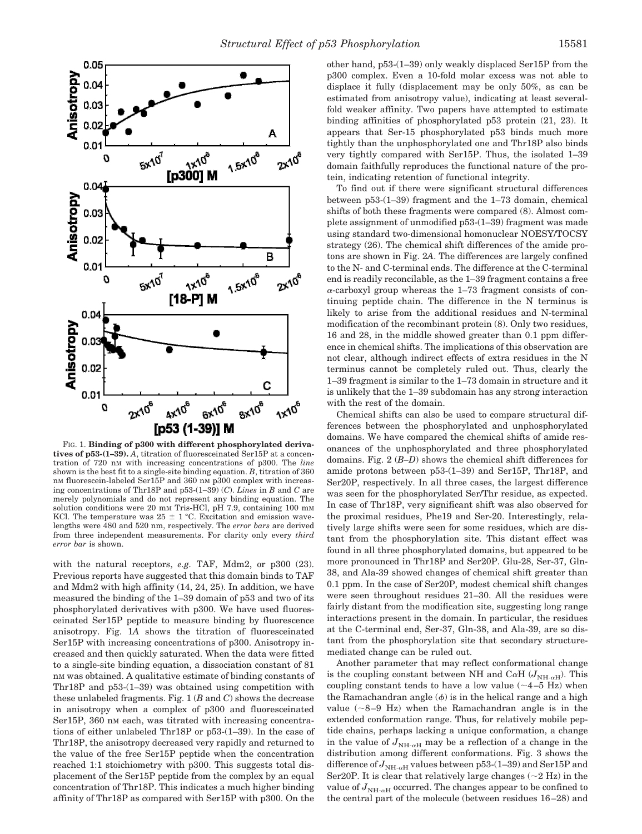

FIG. 1. **Binding of p300 with different phosphorylated derivatives of p53-(1–39).** *A*, titration of fluoresceinated Ser15P at a concentration of 720 nM with increasing concentrations of p300. The *line* shown is the best fit to a single-site binding equation. *B*, titration of 360 nM fluorescein-labeled Ser15P and 360 nM p300 complex with increasing concentrations of Thr18P and p53-(1–39) (*C*). *Lines* in *B* and *C* are merely polynomials and do not represent any binding equation. The solution conditions were 20 mM Tris-HCl, pH 7.9, containing 100 mM KCl. The temperature was  $25 \pm 1$  °C. Excitation and emission wavelengths were 480 and 520 nm, respectively. The *error bars* are derived from three independent measurements. For clarity only every *third error bar* is shown.

with the natural receptors, *e.g.* TAF, Mdm2, or p300 (23). Previous reports have suggested that this domain binds to TAF and Mdm2 with high affinity (14, 24, 25). In addition, we have measured the binding of the 1–39 domain of p53 and two of its phosphorylated derivatives with p300. We have used fluoresceinated Ser15P peptide to measure binding by fluorescence anisotropy. Fig. 1*A* shows the titration of fluoresceinated Ser15P with increasing concentrations of p300. Anisotropy increased and then quickly saturated. When the data were fitted to a single-site binding equation, a dissociation constant of 81 nM was obtained. A qualitative estimate of binding constants of Thr18P and p53-(1–39) was obtained using competition with these unlabeled fragments. Fig. 1 (*B* and *C*) shows the decrease in anisotropy when a complex of p300 and fluoresceinated Ser15P, 360 nm each, was titrated with increasing concentrations of either unlabeled Thr18P or p53-(1–39). In the case of Thr18P, the anisotropy decreased very rapidly and returned to the value of the free Ser15P peptide when the concentration reached 1:1 stoichiometry with p300. This suggests total displacement of the Ser15P peptide from the complex by an equal concentration of Thr18P. This indicates a much higher binding affinity of Thr18P as compared with Ser15P with p300. On the

other hand, p53-(1–39) only weakly displaced Ser15P from the p300 complex. Even a 10-fold molar excess was not able to displace it fully (displacement may be only 50%, as can be estimated from anisotropy value), indicating at least severalfold weaker affinity. Two papers have attempted to estimate binding affinities of phosphorylated p53 protein (21, 23). It appears that Ser-15 phosphorylated p53 binds much more tightly than the unphosphorylated one and Thr18P also binds very tightly compared with Ser15P. Thus, the isolated 1–39 domain faithfully reproduces the functional nature of the protein, indicating retention of functional integrity.

To find out if there were significant structural differences between p53-(1–39) fragment and the 1–73 domain, chemical shifts of both these fragments were compared (8). Almost complete assignment of unmodified p53-(1–39) fragment was made using standard two-dimensional homonuclear NOESY/TOCSY strategy (26). The chemical shift differences of the amide protons are shown in Fig. 2*A*. The differences are largely confined to the N- and C-terminal ends. The difference at the C-terminal end is readily reconcilable, as the 1–39 fragment contains a free  $\alpha$ -carboxyl group whereas the 1–73 fragment consists of continuing peptide chain. The difference in the N terminus is likely to arise from the additional residues and N-terminal modification of the recombinant protein (8). Only two residues, 16 and 28, in the middle showed greater than 0.1 ppm difference in chemical shifts. The implications of this observation are not clear, although indirect effects of extra residues in the N terminus cannot be completely ruled out. Thus, clearly the 1–39 fragment is similar to the 1–73 domain in structure and it is unlikely that the 1–39 subdomain has any strong interaction with the rest of the domain.

Chemical shifts can also be used to compare structural differences between the phosphorylated and unphosphorylated domains. We have compared the chemical shifts of amide resonances of the unphosphorylated and three phosphorylated domains. Fig. 2 (*B–D*) shows the chemical shift differences for amide protons between p53-(1–39) and Ser15P, Thr18P, and Ser20P, respectively. In all three cases, the largest difference was seen for the phosphorylated Ser/Thr residue, as expected. In case of Thr18P, very significant shift was also observed for the proximal residues, Phe19 and Ser-20. Interestingly, relatively large shifts were seen for some residues, which are distant from the phosphorylation site. This distant effect was found in all three phosphorylated domains, but appeared to be more pronounced in Thr18P and Ser20P. Glu-28, Ser-37, Gln-38, and Ala-39 showed changes of chemical shift greater than 0.1 ppm. In the case of Ser20P, modest chemical shift changes were seen throughout residues 21–30. All the residues were fairly distant from the modification site, suggesting long range interactions present in the domain. In particular, the residues at the C-terminal end, Ser-37, Gln-38, and Ala-39, are so distant from the phosphorylation site that secondary structuremediated change can be ruled out.

Another parameter that may reflect conformational change is the coupling constant between NH and C $\alpha$ H ( $J_{\text{NH-}\alpha}$ ). This coupling constant tends to have a low value  $(-4-5$  Hz) when the Ramachandran angle  $(\phi)$  is in the helical range and a high value  $({\sim}8-9$  Hz) when the Ramachandran angle is in the extended conformation range. Thus, for relatively mobile peptide chains, perhaps lacking a unique conformation, a change in the value of  $J_{\text{NH-}{\alpha}H}$  may be a reflection of a change in the distribution among different conformations. Fig. 3 shows the difference of  $J_{\text{NH-}\alpha\text{H}}$  values between p53-(1–39) and Ser15P and Ser20P. It is clear that relatively large changes  $(\sim 2$  Hz) in the value of  $J_{\text{NH-}alpha}$  occurred. The changes appear to be confined to the central part of the molecule (between residues 16–28) and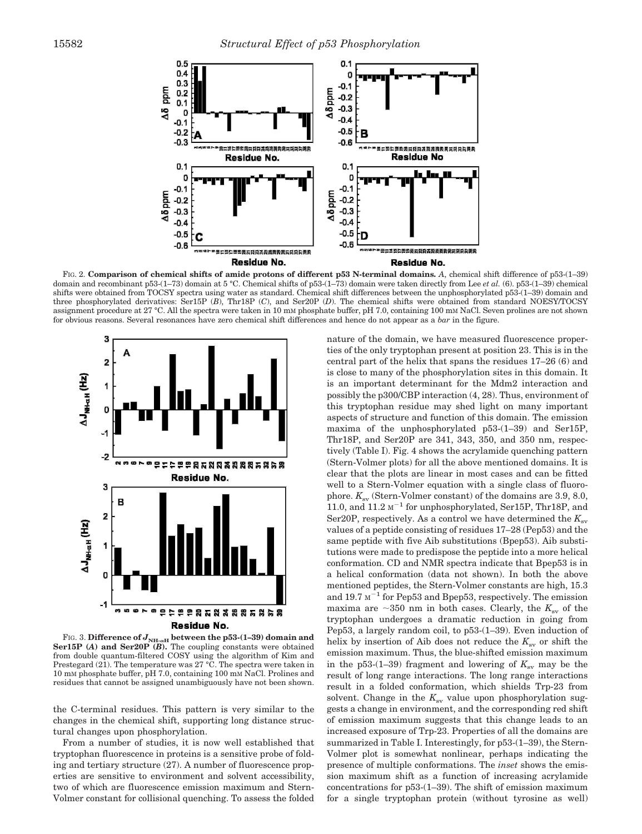

FIG. 2. **Comparison of chemical shifts of amide protons of different p53 N-terminal domains.** *A*, chemical shift difference of p53-(1–39) domain and recombinant p53-(1–73) domain at 5 °C. Chemical shifts of p53-(1–73) domain were taken directly from Lee *et al.* (6). p53-(1–39) chemical shifts were obtained from TOCSY spectra using water as standard. Chemical shift differences between the unphosphorylated p53-(1–39) domain and three phosphorylated derivatives: Ser15P (*B*), Thr18P (*C*), and Ser20P (*D*). The chemical shifts were obtained from standard NOESY/TOCSY assignment procedure at 27 °C. All the spectra were taken in 10 mM phosphate buffer, pH 7.0, containing 100 mM NaCl. Seven prolines are not shown for obvious reasons. Several resonances have zero chemical shift differences and hence do not appear as a *bar* in the figure.



FIG. 3. Difference of  $J_{\text{NH-}{\alpha}H}$  between the p53-(1-39) domain and **Ser15P (***A***) and Ser20P (***B***).** The coupling constants were obtained from double quantum-filtered COSY using the algorithm of Kim and Prestegard (21). The temperature was 27 °C. The spectra were taken in 10 mM phosphate buffer, pH 7.0, containing 100 mM NaCl. Prolines and residues that cannot be assigned unambiguously have not been shown.

the C-terminal residues. This pattern is very similar to the changes in the chemical shift, supporting long distance structural changes upon phosphorylation.

From a number of studies, it is now well established that tryptophan fluorescence in proteins is a sensitive probe of folding and tertiary structure (27). A number of fluorescence properties are sensitive to environment and solvent accessibility, two of which are fluorescence emission maximum and Stern-Volmer constant for collisional quenching. To assess the folded

nature of the domain, we have measured fluorescence properties of the only tryptophan present at position 23. This is in the central part of the helix that spans the residues 17–26 (6) and is close to many of the phosphorylation sites in this domain. It is an important determinant for the Mdm2 interaction and possibly the p300/CBP interaction (4, 28). Thus, environment of this tryptophan residue may shed light on many important aspects of structure and function of this domain. The emission maxima of the unphosphorylated p53-(1–39) and Ser15P, Thr18P, and Ser20P are 341, 343, 350, and 350 nm, respectively (Table I). Fig. 4 shows the acrylamide quenching pattern (Stern-Volmer plots) for all the above mentioned domains. It is clear that the plots are linear in most cases and can be fitted well to a Stern-Volmer equation with a single class of fluorophore.  $K_{\rm sv}$  (Stern-Volmer constant) of the domains are 3.9, 8.0, 11.0, and  $11.2 \text{ M}^{-1}$  for unphosphorylated, Ser15P, Thr18P, and Ser20P, respectively. As a control we have determined the  $K_{\rm sv}$ values of a peptide consisting of residues 17–28 (Pep53) and the same peptide with five Aib substitutions (Bpep53). Aib substitutions were made to predispose the peptide into a more helical conformation. CD and NMR spectra indicate that Bpep53 is in a helical conformation (data not shown). In both the above mentioned peptides, the Stern-Volmer constants are high, 15.3 and 19.7  $M^{-1}$  for Pep53 and Bpep53, respectively. The emission maxima are  $\sim$ 350 nm in both cases. Clearly, the  $K_{\rm sv}$  of the tryptophan undergoes a dramatic reduction in going from Pep53, a largely random coil, to p53-(1–39). Even induction of helix by insertion of Aib does not reduce the  $K_{\rm sv}$  or shift the emission maximum. Thus, the blue-shifted emission maximum in the p53-(1–39) fragment and lowering of  $K_{\rm sv}$  may be the result of long range interactions. The long range interactions result in a folded conformation, which shields Trp-23 from solvent. Change in the  $K_{\rm av}$  value upon phosphorylation suggests a change in environment, and the corresponding red shift of emission maximum suggests that this change leads to an increased exposure of Trp-23. Properties of all the domains are summarized in Table I. Interestingly, for p53-(1–39), the Stern-Volmer plot is somewhat nonlinear, perhaps indicating the presence of multiple conformations. The *inset* shows the emission maximum shift as a function of increasing acrylamide concentrations for p53-(1–39). The shift of emission maximum for a single tryptophan protein (without tyrosine as well)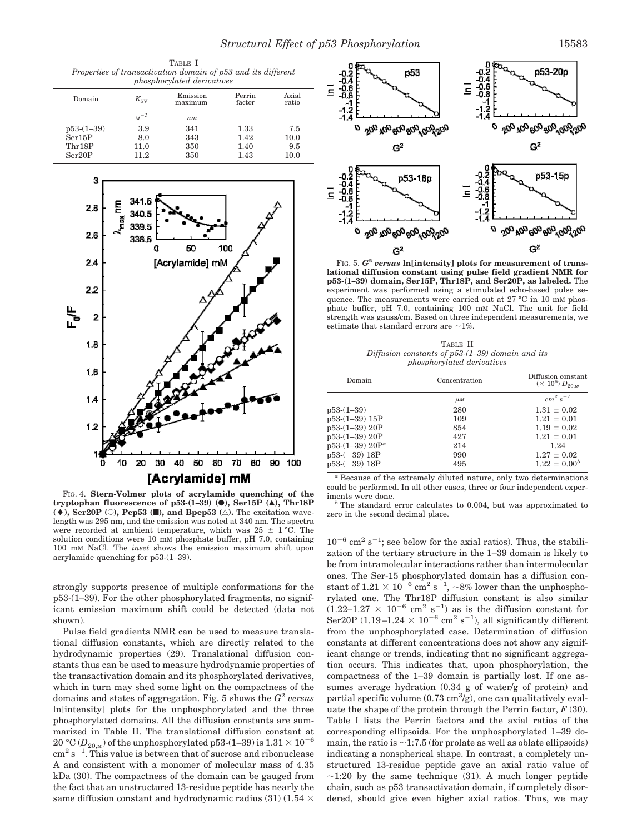|  |                                                               | TABLE I |  |  |  |
|--|---------------------------------------------------------------|---------|--|--|--|
|  | Properties of transactivation domain of p53 and its different |         |  |  |  |
|  | <i>phosphorylated derivatives</i>                             |         |  |  |  |

| Domain       | $K_{\rm SV}$ | Emission<br>maximum | Perrin<br>factor | Axial<br>ratio |
|--------------|--------------|---------------------|------------------|----------------|
|              | $M^{-1}$     | nm                  |                  |                |
| $p53-(1-39)$ | 3.9          | 341                 | 1.33             | 7.5            |
| Ser15P       | 8.0          | 343                 | 1.42             | 10.0           |
| Thr18P       | 11.0         | 350                 | 1.40             | 9.5            |
| Ser20P       | 11.2         | 350                 | 1.43             | 10.0           |



FIG. 4. **Stern-Volmer plots of acrylamide quenching of the tryptophan fluorescence of p53-(1–39) (**●**), Ser15P (**Œ**), Thr18P**  $(\bullet)$ , Ser20P ( $\circ$ ), Pep53 ( $\Box$ ), and Bpep53 ( $\triangle$ ). The excitation wavelength was 295 nm, and the emission was noted at 340 nm. The spectra were recorded at ambient temperature, which was  $25 \pm 1$  °C. The solution conditions were 10 mM phosphate buffer, pH 7.0, containing 100 mM NaCl. The *inset* shows the emission maximum shift upon acrylamide quenching for p53-(1–39).

strongly supports presence of multiple conformations for the p53-(1–39). For the other phosphorylated fragments, no significant emission maximum shift could be detected (data not shown).

Pulse field gradients NMR can be used to measure translational diffusion constants, which are directly related to the hydrodynamic properties (29). Translational diffusion constants thus can be used to measure hydrodynamic properties of the transactivation domain and its phosphorylated derivatives, which in turn may shed some light on the compactness of the domains and states of aggregation. Fig. 5 shows the *G* 2 *versus* ln[intensity] plots for the unphosphorylated and the three phosphorylated domains. All the diffusion constants are summarized in Table II. The translational diffusion constant at 20 °C ( $D_{20,w}$ ) of the unphosphorylated p53-(1–39) is  $1.31 \times 10^{-6}$  $\text{cm}^2 \text{ s}^{-1}$ . This value is between that of sucrose and ribonuclease A and consistent with a monomer of molecular mass of 4.35 kDa (30). The compactness of the domain can be gauged from the fact that an unstructured 13-residue peptide has nearly the same diffusion constant and hydrodynamic radius (31) (1.54  $\times$ 



FIG. 5. *G***<sup>2</sup>** *versus* **ln[intensity] plots for measurement of translational diffusion constant using pulse field gradient NMR for p53-(1–39) domain, Ser15P, Thr18P, and Ser20P, as labeled.** The experiment was performed using a stimulated echo-based pulse sequence. The measurements were carried out at 27 °C in 10 mM phosphate buffer, pH 7.0, containing 100 mM NaCl. The unit for field strength was gauss/cm. Based on three independent measurements, we estimate that standard errors are  $\sim$ 1%.

TABLE II *Diffusion constants of p53-(1–39) domain and its phosphorylated derivatives*

| Domain               | Concentration  | Diffusion constant<br>$(\times 10^6) D_{20,\mu}$ |  |
|----------------------|----------------|--------------------------------------------------|--|
|                      | $\mu$ <i>M</i> | $cm^2 s^{-1}$                                    |  |
| $p53-(1-39)$         | 280            | $1.31 \pm 0.02$                                  |  |
| $p53-(1-39)$ 15P     | 109            | $1.21 \pm 0.01$                                  |  |
| p53-(1-39) 20P       | 854            | $1.19 \pm 0.02$                                  |  |
| $p53-(1-39)$ 20P     | 427            | $1.21 \pm 0.01$                                  |  |
| $p53-(1-39)$ $20P^a$ | 214            | 1.24                                             |  |
| $p53-(-39)$ 18P      | 990            | $1.27 \pm 0.02$                                  |  |
| $p53-(-39)$ 18P      | 495            | $1.22 \pm 0.00^b$                                |  |

*<sup>a</sup>* Because of the extremely diluted nature, only two determinations could be performed. In all other cases, three or four independent experiments were done.

The standard error calculates to 0.004, but was approximated to zero in the second decimal place.

 $10^{-6}$  cm<sup>2</sup> s<sup>-1</sup>; see below for the axial ratios). Thus, the stabilization of the tertiary structure in the 1–39 domain is likely to be from intramolecular interactions rather than intermolecular ones. The Ser-15 phosphorylated domain has a diffusion constant of  $1.21 \times 10^{-6}$  cm<sup>2</sup> s<sup>-1</sup>, ~8% lower than the unphosphorylated one. The Thr18P diffusion constant is also similar  $(1.22-1.27 \times 10^{-6} \text{ cm}^2 \text{ s}^{-1})$  as is the diffusion constant for Ser20P (1.19-1.24  $\times$  10<sup>-6</sup> cm<sup>2</sup> s<sup>-1</sup>), all significantly different from the unphosphorylated case. Determination of diffusion constants at different concentrations does not show any significant change or trends, indicating that no significant aggregation occurs. This indicates that, upon phosphorylation, the compactness of the 1–39 domain is partially lost. If one assumes average hydration (0.34 g of water/g of protein) and partial specific volume  $(0.73 \text{ cm}^3/\text{g})$ , one can qualitatively evaluate the shape of the protein through the Perrin factor,  $F(30)$ . Table I lists the Perrin factors and the axial ratios of the corresponding ellipsoids. For the unphosphorylated 1–39 domain, the ratio is  $\sim$  1:7.5 (for prolate as well as oblate ellipsoids) indicating a nonspherical shape. In contrast, a completely unstructured 13-residue peptide gave an axial ratio value of  $\sim$ 1:20 by the same technique (31). A much longer peptide chain, such as p53 transactivation domain, if completely disordered, should give even higher axial ratios. Thus, we may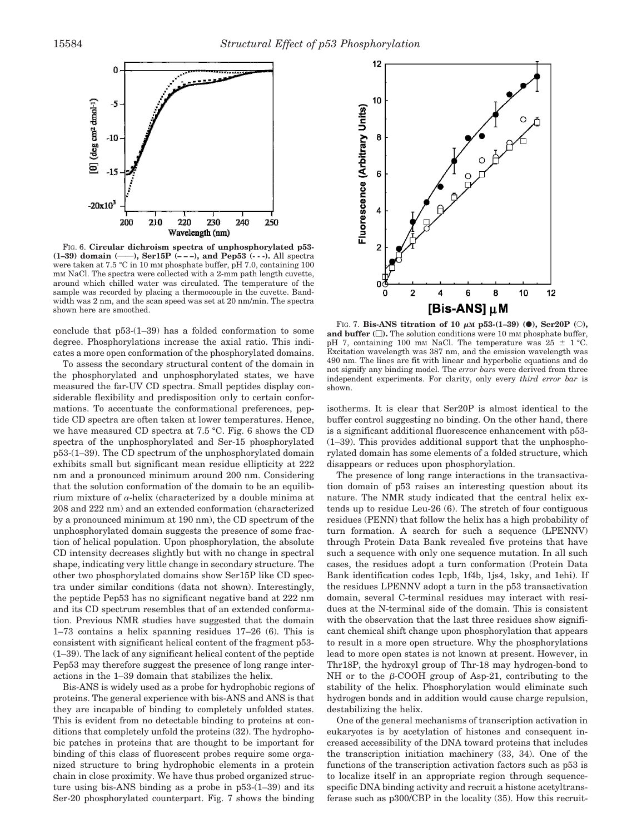

FIG. 6. **Circular dichroism spectra of unphosphorylated p53- (1-39) domain (---), Ser15P (---), and Pep53 (---).** All spectra were taken at 7.5 °C in 10 mM phosphate buffer, pH 7.0, containing 100 mM NaCl. The spectra were collected with a 2-mm path length cuvette, around which chilled water was circulated. The temperature of the sample was recorded by placing a thermocouple in the cuvette. Bandwidth was 2 nm, and the scan speed was set at 20 nm/min. The spectra shown here are smoothed.

conclude that p53-(1–39) has a folded conformation to some degree. Phosphorylations increase the axial ratio. This indicates a more open conformation of the phosphorylated domains.

To assess the secondary structural content of the domain in the phosphorylated and unphosphorylated states, we have measured the far-UV CD spectra. Small peptides display considerable flexibility and predisposition only to certain conformations. To accentuate the conformational preferences, peptide CD spectra are often taken at lower temperatures. Hence, we have measured CD spectra at 7.5 °C. Fig. 6 shows the CD spectra of the unphosphorylated and Ser-15 phosphorylated p53-(1–39). The CD spectrum of the unphosphorylated domain exhibits small but significant mean residue ellipticity at 222 nm and a pronounced minimum around 200 nm. Considering that the solution conformation of the domain to be an equilibrium mixture of  $\alpha$ -helix (characterized by a double minima at 208 and 222 nm) and an extended conformation (characterized by a pronounced minimum at 190 nm), the CD spectrum of the unphosphorylated domain suggests the presence of some fraction of helical population. Upon phosphorylation, the absolute CD intensity decreases slightly but with no change in spectral shape, indicating very little change in secondary structure. The other two phosphorylated domains show Ser15P like CD spectra under similar conditions (data not shown). Interestingly, the peptide Pep53 has no significant negative band at 222 nm and its CD spectrum resembles that of an extended conformation. Previous NMR studies have suggested that the domain 1–73 contains a helix spanning residues 17–26 (6). This is consistent with significant helical content of the fragment p53- (1–39). The lack of any significant helical content of the peptide Pep53 may therefore suggest the presence of long range interactions in the 1–39 domain that stabilizes the helix.

Bis-ANS is widely used as a probe for hydrophobic regions of proteins. The general experience with bis-ANS and ANS is that they are incapable of binding to completely unfolded states. This is evident from no detectable binding to proteins at conditions that completely unfold the proteins (32). The hydrophobic patches in proteins that are thought to be important for binding of this class of fluorescent probes require some organized structure to bring hydrophobic elements in a protein chain in close proximity. We have thus probed organized structure using bis-ANS binding as a probe in p53-(1–39) and its Ser-20 phosphorylated counterpart. Fig. 7 shows the binding



FIG. 7. **Bis-ANS titration of 10**  $\mu$ M **p53-(1-39) (0)**, **Ser20P** (0), **and buffer ().** The solution conditions were 10 m<sup>M</sup> phosphate buffer, pH 7, containing 100 mm NaCl. The temperature was  $25 \pm 1$  °C. Excitation wavelength was 387 nm, and the emission wavelength was 490 nm. The lines are fit with linear and hyperbolic equations and do not signify any binding model. The *error bars* were derived from three independent experiments. For clarity, only every *third error bar* is shown.

isotherms. It is clear that Ser20P is almost identical to the buffer control suggesting no binding. On the other hand, there is a significant additional fluorescence enhancement with p53- (1–39). This provides additional support that the unphosphorylated domain has some elements of a folded structure, which disappears or reduces upon phosphorylation.

The presence of long range interactions in the transactivation domain of p53 raises an interesting question about its nature. The NMR study indicated that the central helix extends up to residue Leu-26 (6). The stretch of four contiguous residues (PENN) that follow the helix has a high probability of turn formation. A search for such a sequence (LPENNV) through Protein Data Bank revealed five proteins that have such a sequence with only one sequence mutation. In all such cases, the residues adopt a turn conformation (Protein Data Bank identification codes 1cpb, 1f4b, 1js4, 1sky, and 1ehi). If the residues LPENNV adopt a turn in the p53 transactivation domain, several C-terminal residues may interact with residues at the N-terminal side of the domain. This is consistent with the observation that the last three residues show significant chemical shift change upon phosphorylation that appears to result in a more open structure. Why the phosphorylations lead to more open states is not known at present. However, in Thr18P, the hydroxyl group of Thr-18 may hydrogen-bond to NH or to the  $\beta$ -COOH group of Asp-21, contributing to the stability of the helix. Phosphorylation would eliminate such hydrogen bonds and in addition would cause charge repulsion, destabilizing the helix.

One of the general mechanisms of transcription activation in eukaryotes is by acetylation of histones and consequent increased accessibility of the DNA toward proteins that includes the transcription initiation machinery (33, 34). One of the functions of the transcription activation factors such as p53 is to localize itself in an appropriate region through sequencespecific DNA binding activity and recruit a histone acetyltransferase such as p300/CBP in the locality (35). How this recruit-